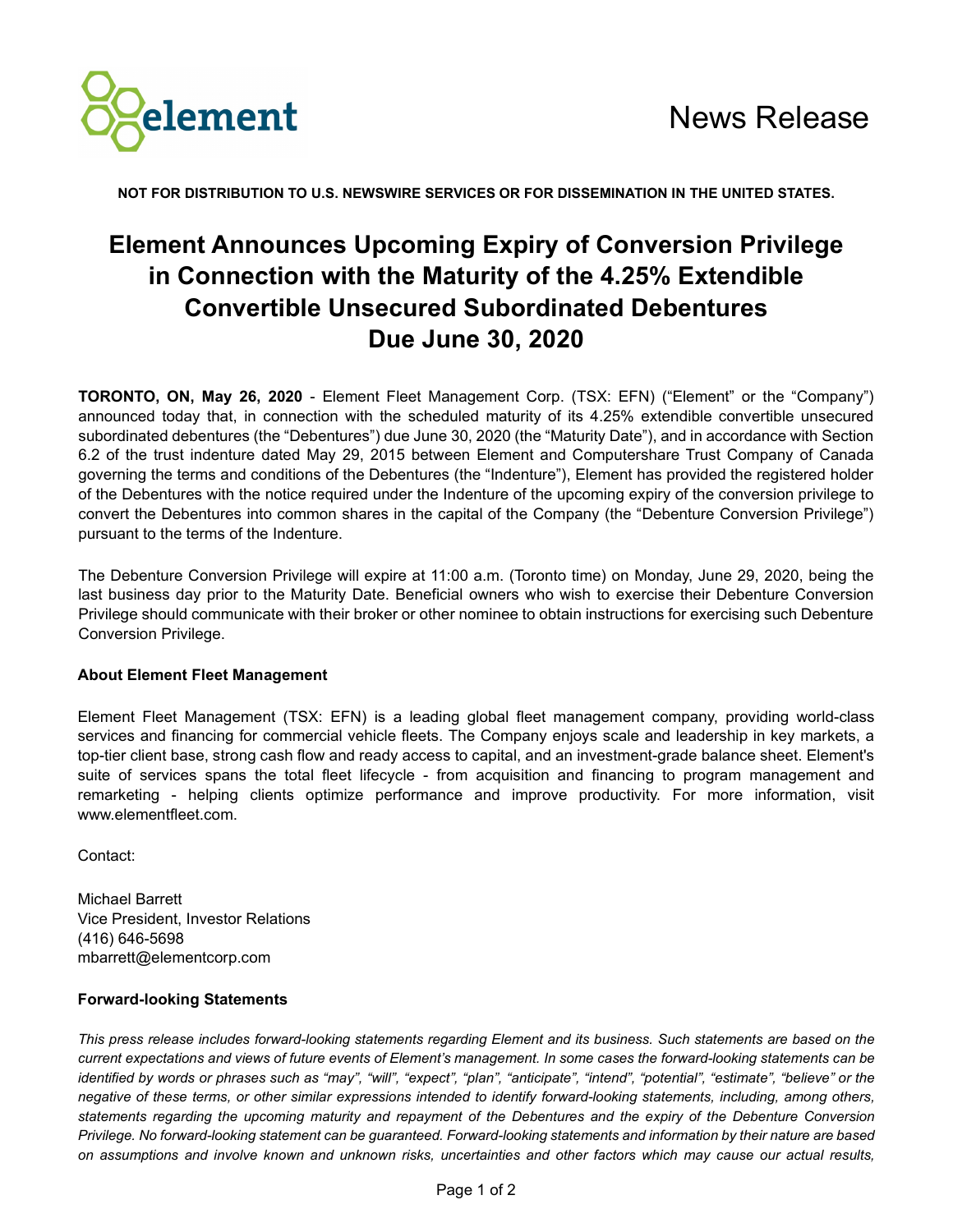

**NOT FOR DISTRIBUTION TO U.S. NEWSWIRE SERVICES OR FOR DISSEMINATION IN THE UNITED STATES.**

## **Element Announces Upcoming Expiry of Conversion Privilege in Connection with the Maturity of the 4.25% Extendible Convertible Unsecured Subordinated Debentures Due June 30, 2020**

**TORONTO, ON, May 26, 2020** - Element Fleet Management Corp. (TSX: EFN) ("Element" or the "Company") announced today that, in connection with the scheduled maturity of its 4.25% extendible convertible unsecured subordinated debentures (the "Debentures") due June 30, 2020 (the "Maturity Date"), and in accordance with Section 6.2 of the trust indenture dated May 29, 2015 between Element and Computershare Trust Company of Canada governing the terms and conditions of the Debentures (the "Indenture"), Element has provided the registered holder of the Debentures with the notice required under the Indenture of the upcoming expiry of the conversion privilege to convert the Debentures into common shares in the capital of the Company (the "Debenture Conversion Privilege") pursuant to the terms of the Indenture.

The Debenture Conversion Privilege will expire at 11:00 a.m. (Toronto time) on Monday, June 29, 2020, being the last business day prior to the Maturity Date. Beneficial owners who wish to exercise their Debenture Conversion Privilege should communicate with their broker or other nominee to obtain instructions for exercising such Debenture Conversion Privilege.

## **About Element Fleet Management**

Element Fleet Management (TSX: EFN) is a leading global fleet management company, providing world-class services and financing for commercial vehicle fleets. The Company enjoys scale and leadership in key markets, a top-tier client base, strong cash flow and ready access to capital, and an investment-grade balance sheet. Element's suite of services spans the total fleet lifecycle - from acquisition and financing to program management and remarketing - helping clients optimize performance and improve productivity. For more information, visit www.elementfleet.com.

Contact:

Michael Barrett Vice President, Investor Relations (416) 646-5698 mbarrett@elementcorp.com

## **Forward-looking Statements**

*This press release includes forward-looking statements regarding Element and its business. Such statements are based on the current expectations and views of future events of Element's management. In some cases the forward-looking statements can be identified by words or phrases such as "may", "will", "expect", "plan", "anticipate", "intend", "potential", "estimate", "believe" or the negative of these terms, or other similar expressions intended to identify forward-looking statements, including, among others, statements regarding the upcoming maturity and repayment of the Debentures and the expiry of the Debenture Conversion Privilege. No forward-looking statement can be guaranteed. Forward-looking statements and information by their nature are based on assumptions and involve known and unknown risks, uncertainties and other factors which may cause our actual results,*